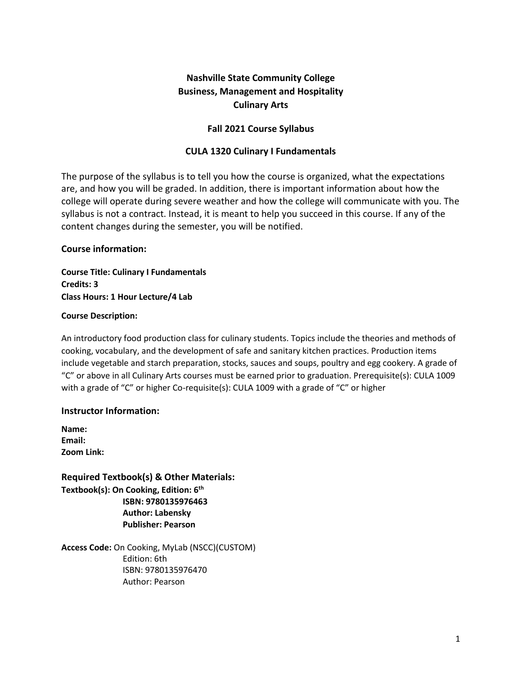# **Nashville State Community College Business, Management and Hospitality Culinary Arts**

## **Fall 2021 Course Syllabus**

#### **CULA 1320 Culinary I Fundamentals**

The purpose of the syllabus is to tell you how the course is organized, what the expectations are, and how you will be graded. In addition, there is important information about how the college will operate during severe weather and how the college will communicate with you. The syllabus is not a contract. Instead, it is meant to help you succeed in this course. If any of the content changes during the semester, you will be notified.

#### **Course information:**

**Course Title: Culinary I Fundamentals Credits: 3 Class Hours: 1 Hour Lecture/4 Lab**

#### **Course Description:**

An introductory food production class for culinary students. Topics include the theories and methods of cooking, vocabulary, and the development of safe and sanitary kitchen practices. Production items include vegetable and starch preparation, stocks, sauces and soups, poultry and egg cookery. A grade of "C" or above in all Culinary Arts courses must be earned prior to graduation. Prerequisite(s): CULA 1009 with a grade of "C" or higher Co-requisite(s): CULA 1009 with a grade of "C" or higher

## **Instructor Information:**

**Name: Email: Zoom Link:** 

**Required Textbook(s) & Other Materials: Textbook(s): On Cooking, Edition: 6th ISBN: 9780135976463 Author: Labensky Publisher: Pearson** 

**Access Code:** On Cooking, MyLab (NSCC)(CUSTOM) Edition: 6th ISBN: 9780135976470 Author: Pearson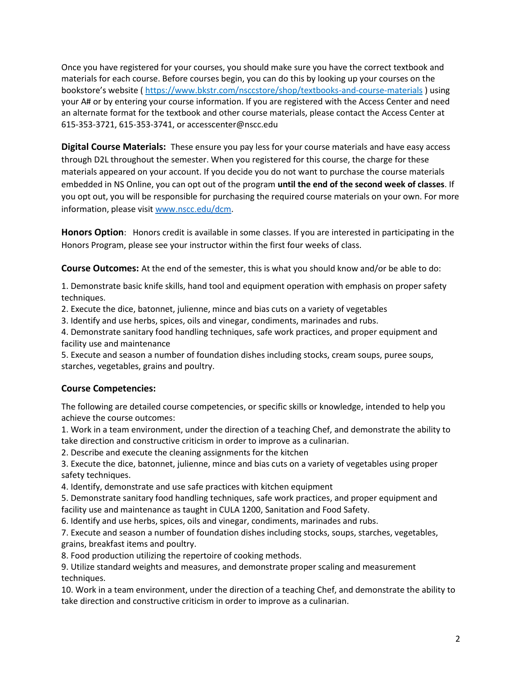Once you have registered for your courses, you should make sure you have the correct textbook and materials for each course. Before courses begin, you can do this by looking up your courses on the bookstore's website ( <https://www.bkstr.com/nsccstore/shop/textbooks-and-course-materials> ) using your A# or by entering your course information. If you are registered with the Access Center and need an alternate format for the textbook and other course materials, please contact the Access Center at 615-353-3721, 615-353-3741, or accesscenter@nscc.edu

**Digital Course Materials:** These ensure you pay less for your course materials and have easy access through D2L throughout the semester. When you registered for this course, the charge for these materials appeared on your account. If you decide you do not want to purchase the course materials embedded in NS Online, you can opt out of the program **until the end of the second week of classes**. If you opt out, you will be responsible for purchasing the required course materials on your own. For more information, please visit [www.nscc.edu/dcm.](http://www.nscc.edu/dcm)

**Honors Option**: Honors credit is available in some classes. If you are interested in participating in the Honors Program, please see your instructor within the first four weeks of class.

**Course Outcomes:** At the end of the semester, this is what you should know and/or be able to do:

1. Demonstrate basic knife skills, hand tool and equipment operation with emphasis on proper safety techniques.

2. Execute the dice, batonnet, julienne, mince and bias cuts on a variety of vegetables

3. Identify and use herbs, spices, oils and vinegar, condiments, marinades and rubs.

4. Demonstrate sanitary food handling techniques, safe work practices, and proper equipment and facility use and maintenance

5. Execute and season a number of foundation dishes including stocks, cream soups, puree soups, starches, vegetables, grains and poultry.

## **Course Competencies:**

The following are detailed course competencies, or specific skills or knowledge, intended to help you achieve the course outcomes:

1. Work in a team environment, under the direction of a teaching Chef, and demonstrate the ability to take direction and constructive criticism in order to improve as a culinarian.

2. Describe and execute the cleaning assignments for the kitchen

3. Execute the dice, batonnet, julienne, mince and bias cuts on a variety of vegetables using proper safety techniques.

4. Identify, demonstrate and use safe practices with kitchen equipment

5. Demonstrate sanitary food handling techniques, safe work practices, and proper equipment and facility use and maintenance as taught in CULA 1200, Sanitation and Food Safety.

6. Identify and use herbs, spices, oils and vinegar, condiments, marinades and rubs.

7. Execute and season a number of foundation dishes including stocks, soups, starches, vegetables, grains, breakfast items and poultry.

8. Food production utilizing the repertoire of cooking methods.

9. Utilize standard weights and measures, and demonstrate proper scaling and measurement techniques.

10. Work in a team environment, under the direction of a teaching Chef, and demonstrate the ability to take direction and constructive criticism in order to improve as a culinarian.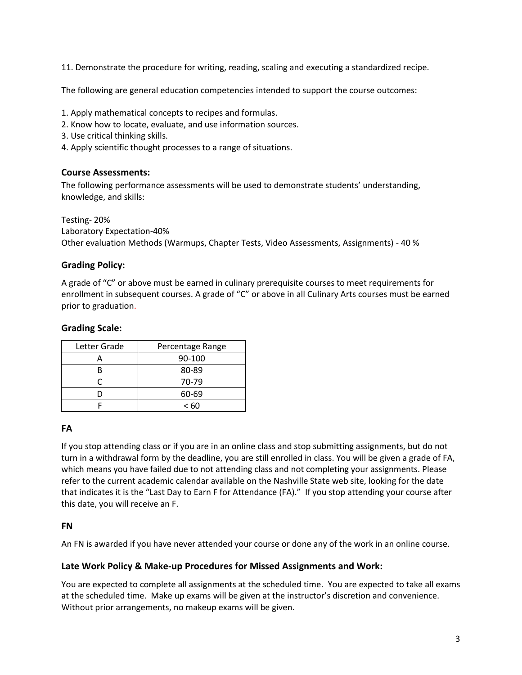11. Demonstrate the procedure for writing, reading, scaling and executing a standardized recipe.

The following are general education competencies intended to support the course outcomes:

- 1. Apply mathematical concepts to recipes and formulas.
- 2. Know how to locate, evaluate, and use information sources.
- 3. Use critical thinking skills.
- 4. Apply scientific thought processes to a range of situations.

#### **Course Assessments:**

The following performance assessments will be used to demonstrate students' understanding, knowledge, and skills:

Testing- 20% Laboratory Expectation-40% Other evaluation Methods (Warmups, Chapter Tests, Video Assessments, Assignments) - 40 %

## **Grading Policy:**

A grade of "C" or above must be earned in culinary prerequisite courses to meet requirements for enrollment in subsequent courses. A grade of "C" or above in all Culinary Arts courses must be earned prior to graduation.

#### **Grading Scale:**

| Letter Grade | Percentage Range |
|--------------|------------------|
|              | 90-100           |
| R            | 80-89            |
|              | 70-79            |
|              | 60-69            |
|              | < 60             |

#### **FA**

If you stop attending class or if you are in an online class and stop submitting assignments, but do not turn in a withdrawal form by the deadline, you are still enrolled in class. You will be given a grade of FA, which means you have failed due to not attending class and not completing your assignments. Please refer to the current academic calendar available on the Nashville State web site, looking for the date that indicates it is the "Last Day to Earn F for Attendance (FA)." If you stop attending your course after this date, you will receive an F.

#### **FN**

An FN is awarded if you have never attended your course or done any of the work in an online course.

#### **Late Work Policy & Make-up Procedures for Missed Assignments and Work:**

You are expected to complete all assignments at the scheduled time. You are expected to take all exams at the scheduled time. Make up exams will be given at the instructor's discretion and convenience. Without prior arrangements, no makeup exams will be given.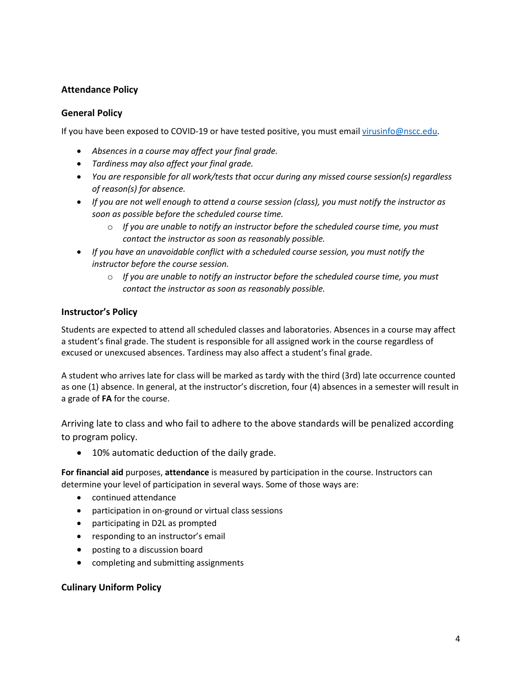# **Attendance Policy**

## **General Policy**

If you have been exposed to COVID-19 or have tested positive, you must email [virusinfo@nscc.edu](mailto:virusinfo@nscc.edu).

- *Absences in a course may affect your final grade.*
- *Tardiness may also affect your final grade.*
- *You are responsible for all work/tests that occur during any missed course session(s) regardless of reason(s) for absence.*
- *If you are not well enough to attend a course session (class), you must notify the instructor as soon as possible before the scheduled course time.*
	- o *If you are unable to notify an instructor before the scheduled course time, you must contact the instructor as soon as reasonably possible.*
- *If you have an unavoidable conflict with a scheduled course session, you must notify the instructor before the course session.* 
	- o *If you are unable to notify an instructor before the scheduled course time, you must contact the instructor as soon as reasonably possible.*

## **Instructor's Policy**

Students are expected to attend all scheduled classes and laboratories. Absences in a course may affect a student's final grade. The student is responsible for all assigned work in the course regardless of excused or unexcused absences. Tardiness may also affect a student's final grade.

A student who arrives late for class will be marked as tardy with the third (3rd) late occurrence counted as one (1) absence. In general, at the instructor's discretion, four (4) absences in a semester will result in a grade of **FA** for the course.

Arriving late to class and who fail to adhere to the above standards will be penalized according to program policy.

• 10% automatic deduction of the daily grade.

**For financial aid** purposes, **attendance** is measured by participation in the course. Instructors can determine your level of participation in several ways. Some of those ways are:

- continued attendance
- participation in on-ground or virtual class sessions
- participating in D2L as prompted
- responding to an instructor's email
- posting to a discussion board
- completing and submitting assignments

## **Culinary Uniform Policy**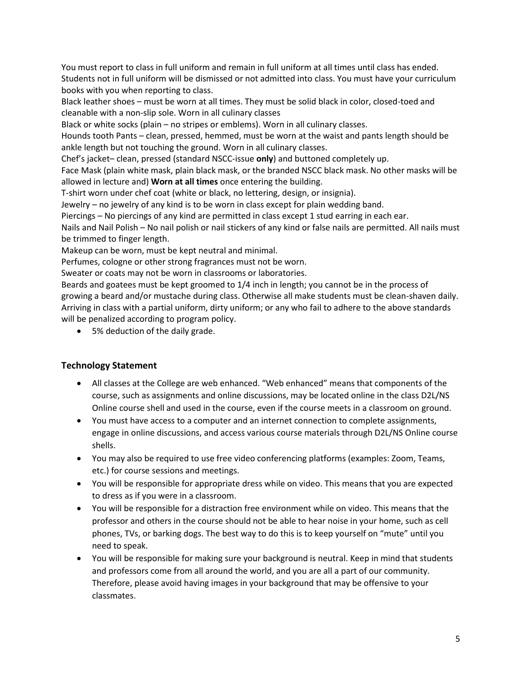You must report to class in full uniform and remain in full uniform at all times until class has ended. Students not in full uniform will be dismissed or not admitted into class. You must have your curriculum books with you when reporting to class.

Black leather shoes – must be worn at all times. They must be solid black in color, closed-toed and cleanable with a non-slip sole. Worn in all culinary classes

Black or white socks (plain – no stripes or emblems). Worn in all culinary classes.

Hounds tooth Pants – clean, pressed, hemmed, must be worn at the waist and pants length should be ankle length but not touching the ground. Worn in all culinary classes.

Chef's jacket– clean, pressed (standard NSCC-issue **only**) and buttoned completely up.

Face Mask (plain white mask, plain black mask, or the branded NSCC black mask. No other masks will be allowed in lecture and) **Worn at all times** once entering the building.

T-shirt worn under chef coat (white or black, no lettering, design, or insignia).

Jewelry – no jewelry of any kind is to be worn in class except for plain wedding band.

Piercings – No piercings of any kind are permitted in class except 1 stud earring in each ear.

Nails and Nail Polish – No nail polish or nail stickers of any kind or false nails are permitted. All nails must be trimmed to finger length.

Makeup can be worn, must be kept neutral and minimal.

Perfumes, cologne or other strong fragrances must not be worn.

Sweater or coats may not be worn in classrooms or laboratories.

Beards and goatees must be kept groomed to 1/4 inch in length; you cannot be in the process of growing a beard and/or mustache during class. Otherwise all make students must be clean-shaven daily. Arriving in class with a partial uniform, dirty uniform; or any who fail to adhere to the above standards will be penalized according to program policy.

• 5% deduction of the daily grade.

## **Technology Statement**

- All classes at the College are web enhanced. "Web enhanced" means that components of the course, such as assignments and online discussions, may be located online in the class D2L/NS Online course shell and used in the course, even if the course meets in a classroom on ground.
- You must have access to a computer and an internet connection to complete assignments, engage in online discussions, and access various course materials through D2L/NS Online course shells.
- You may also be required to use free video conferencing platforms (examples: Zoom, Teams, etc.) for course sessions and meetings.
- You will be responsible for appropriate dress while on video. This means that you are expected to dress as if you were in a classroom.
- You will be responsible for a distraction free environment while on video. This means that the professor and others in the course should not be able to hear noise in your home, such as cell phones, TVs, or barking dogs. The best way to do this is to keep yourself on "mute" until you need to speak.
- You will be responsible for making sure your background is neutral. Keep in mind that students and professors come from all around the world, and you are all a part of our community. Therefore, please avoid having images in your background that may be offensive to your classmates.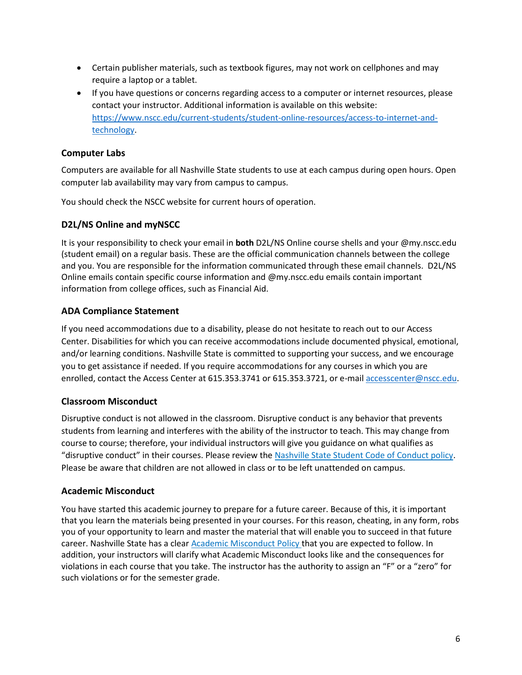- Certain publisher materials, such as textbook figures, may not work on cellphones and may require a laptop or a tablet.
- If you have questions or concerns regarding access to a computer or internet resources, please contact your instructor. Additional information is available on this website: [https://www.nscc.edu/current-students/student-online-resources/access-to-internet-and](https://www.nscc.edu/current-students/student-online-resources/access-to-internet-and-technology)[technology.](https://www.nscc.edu/current-students/student-online-resources/access-to-internet-and-technology)

## **Computer Labs**

Computers are available for all Nashville State students to use at each campus during open hours. Open computer lab availability may vary from campus to campus.

You should check the NSCC website for current hours of operation.

## **D2L/NS Online and myNSCC**

It is your responsibility to check your email in **both** D2L/NS Online course shells and your @my.nscc.edu (student email) on a regular basis. These are the official communication channels between the college and you. You are responsible for the information communicated through these email channels. D2L/NS Online emails contain specific course information and @my.nscc.edu emails contain important information from college offices, such as Financial Aid.

## **ADA Compliance Statement**

If you need accommodations due to a disability, please do not hesitate to reach out to our Access Center. Disabilities for which you can receive accommodations include documented physical, emotional, and/or learning conditions. Nashville State is committed to supporting your success, and we encourage you to get assistance if needed. If you require accommodations for any courses in which you are enrolled, contact the Access Center at 615.353.3741 or 615.353.3721, or e-mail [accesscenter@nscc.edu.](mailto:accesscenter@nscc.edu)

## **Classroom Misconduct**

Disruptive conduct is not allowed in the classroom. Disruptive conduct is any behavior that prevents students from learning and interferes with the ability of the instructor to teach. This may change from course to course; therefore, your individual instructors will give you guidance on what qualifies as "disruptive conduct" in their courses. Please review the [Nashville State Student Code of Conduct policy.](https://s3.amazonaws.com/nscc.edu/PDFs/dean-students/Student_Code_of_Conduct_Policy.pdf) Please be aware that children are not allowed in class or to be left unattended on campus.

## **Academic Misconduct**

You have started this academic journey to prepare for a future career. Because of this, it is important that you learn the materials being presented in your courses. For this reason, cheating, in any form, robs you of your opportunity to learn and master the material that will enable you to succeed in that future career. Nashville State has a clear [Academic Misconduct Policy](https://s3.amazonaws.com/nscc.edu/PDFs/dean-students/Student_Code_of_Conduct_Policy.pdf) that you are expected to follow. In addition, your instructors will clarify what Academic Misconduct looks like and the consequences for violations in each course that you take. The instructor has the authority to assign an "F" or a "zero" for such violations or for the semester grade.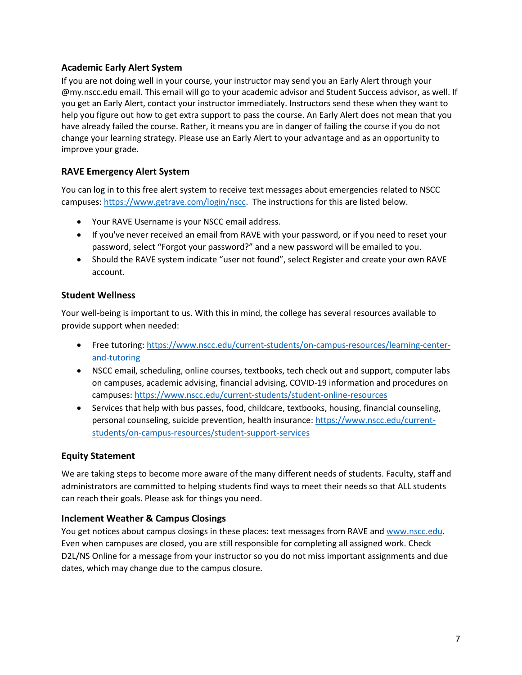## **Academic Early Alert System**

If you are not doing well in your course, your instructor may send you an Early Alert through your @my.nscc.edu email. This email will go to your academic advisor and Student Success advisor, as well. If you get an Early Alert, contact your instructor immediately. Instructors send these when they want to help you figure out how to get extra support to pass the course. An Early Alert does not mean that you have already failed the course. Rather, it means you are in danger of failing the course if you do not change your learning strategy. Please use an Early Alert to your advantage and as an opportunity to improve your grade.

## **RAVE Emergency Alert System**

You can log in to this free alert system to receive text messages about emergencies related to NSCC campuses: [https://www.getrave.com/login/nscc.](https://www.getrave.com/login/nscc) The instructions for this are listed below.

- Your RAVE Username is your NSCC email address.
- If you've never received an email from RAVE with your password, or if you need to reset your password, select "Forgot your password?" and a new password will be emailed to you.
- Should the RAVE system indicate "user not found", select Register and create your own RAVE account.

## **Student Wellness**

Your well-being is important to us. With this in mind, the college has several resources available to provide support when needed:

- Free tutoring: [https://www.nscc.edu/current-students/on-campus-resources/learning-center](https://www.nscc.edu/current-students/on-campus-resources/learning-center-and-tutoring)[and-tutoring](https://www.nscc.edu/current-students/on-campus-resources/learning-center-and-tutoring)
- NSCC email, scheduling, online courses, textbooks, tech check out and support, computer labs on campuses, academic advising, financial advising, COVID-19 information and procedures on campuses:<https://www.nscc.edu/current-students/student-online-resources>
- Services that help with bus passes, food, childcare, textbooks, housing, financial counseling, personal counseling, suicide prevention, health insurance: [https://www.nscc.edu/current](https://www.nscc.edu/current-students/on-campus-resources/student-support-services)[students/on-campus-resources/student-support-services](https://www.nscc.edu/current-students/on-campus-resources/student-support-services)

## **Equity Statement**

We are taking steps to become more aware of the many different needs of students. Faculty, staff and administrators are committed to helping students find ways to meet their needs so that ALL students can reach their goals. Please ask for things you need.

## **Inclement Weather & Campus Closings**

You get notices about campus closings in these places: text messages from RAVE and [www.nscc.edu.](http://www.nscc.edu/) Even when campuses are closed, you are still responsible for completing all assigned work. Check D2L/NS Online for a message from your instructor so you do not miss important assignments and due dates, which may change due to the campus closure.